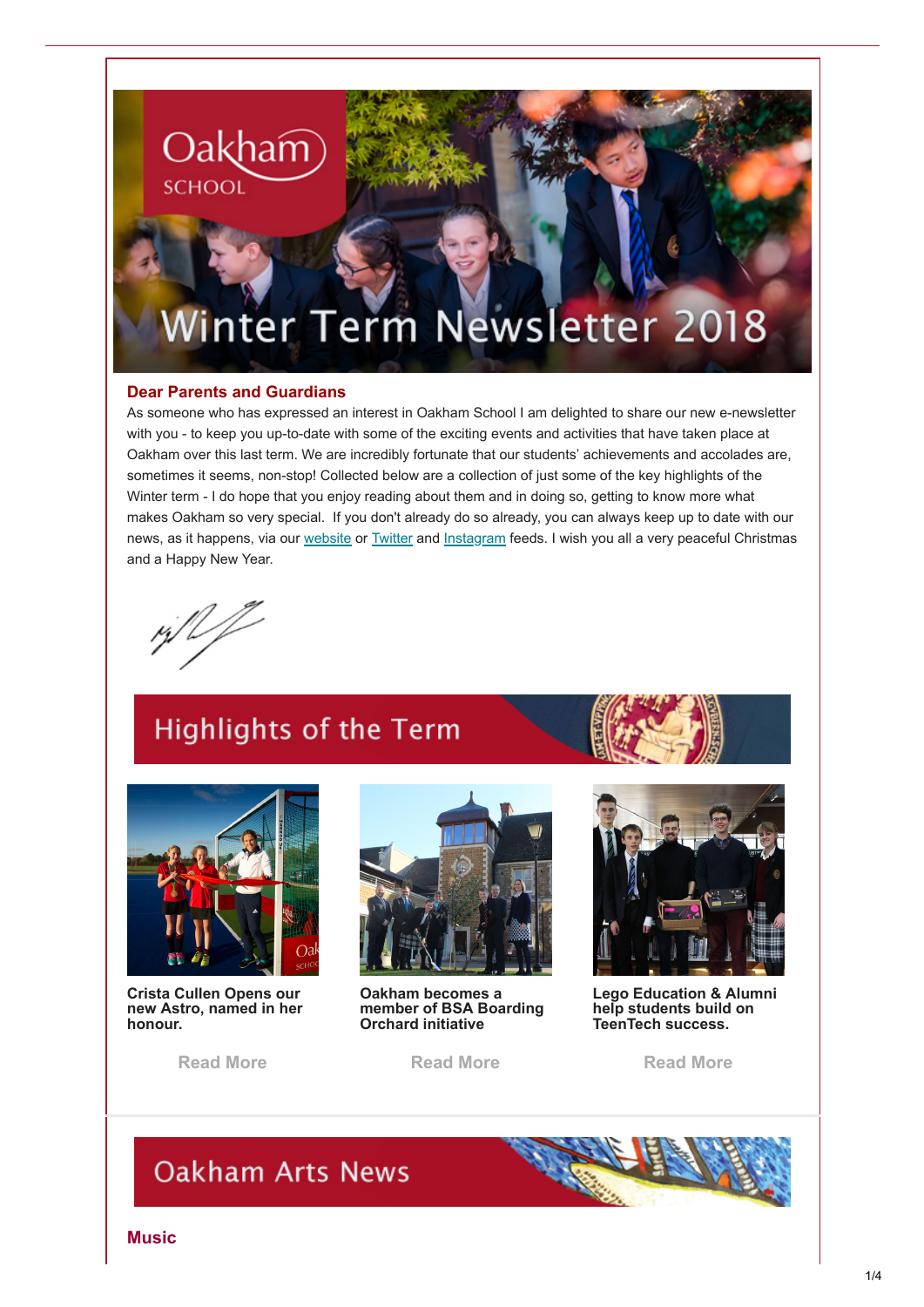# **Winter Term Newsletter 2018**

#### **Dear Parents and Guardians**

Oakham

SCHOOL

As someone who has expressed an interest in Oakham School I am delighted to share our new e-newsletter with you - to keep you up-to-date with some of the exciting events and activities that have taken place at Oakham over this last term. We are incredibly fortunate that our students' achievements and accolades are, sometimes it seems, non-stop! Collected below are a collection of just some of the key highlights of the Winter term - I do hope that you enjoy reading about them and in doing so, getting to know more what makes Oakham so very special. If you don't already do so already, you can always keep up to date with our news, as it happens, via our [website](https://www.oakham.rutland.sch.uk/) or [Twitter](https://twitter.com/OakhamSch) and [Instagram](https://www.instagram.com/oakhamschool/) feeds. I wish you all a very peaceful Christmas and a Happy New Year.

# **Highlights of the Term**



**Crista Cullen Opens our new Astro, named in her honour.** 

**[Read More](https://www.oakham.rutland.sch.uk/The-Crista-Cullen-Hockey-Astro-is-officially-open)**



**Oakham becomes a member of BSA Boarding Orchard initiative**

**[Read More](https://www.oakham.rutland.sch.uk/Oakham-School-becomes-newest-member-of-the-BSA-Boarding-Orchard)**



**Lego Education & Alumni help students build on TeenTech success.**

**[Read More](https://www.oakham.rutland.sch.uk/LEGO-Education-Alumni-help-students-build-on-TeenTech-success?returnUrl=/Latest-News)**

### **Oakham Arts News**

**Music**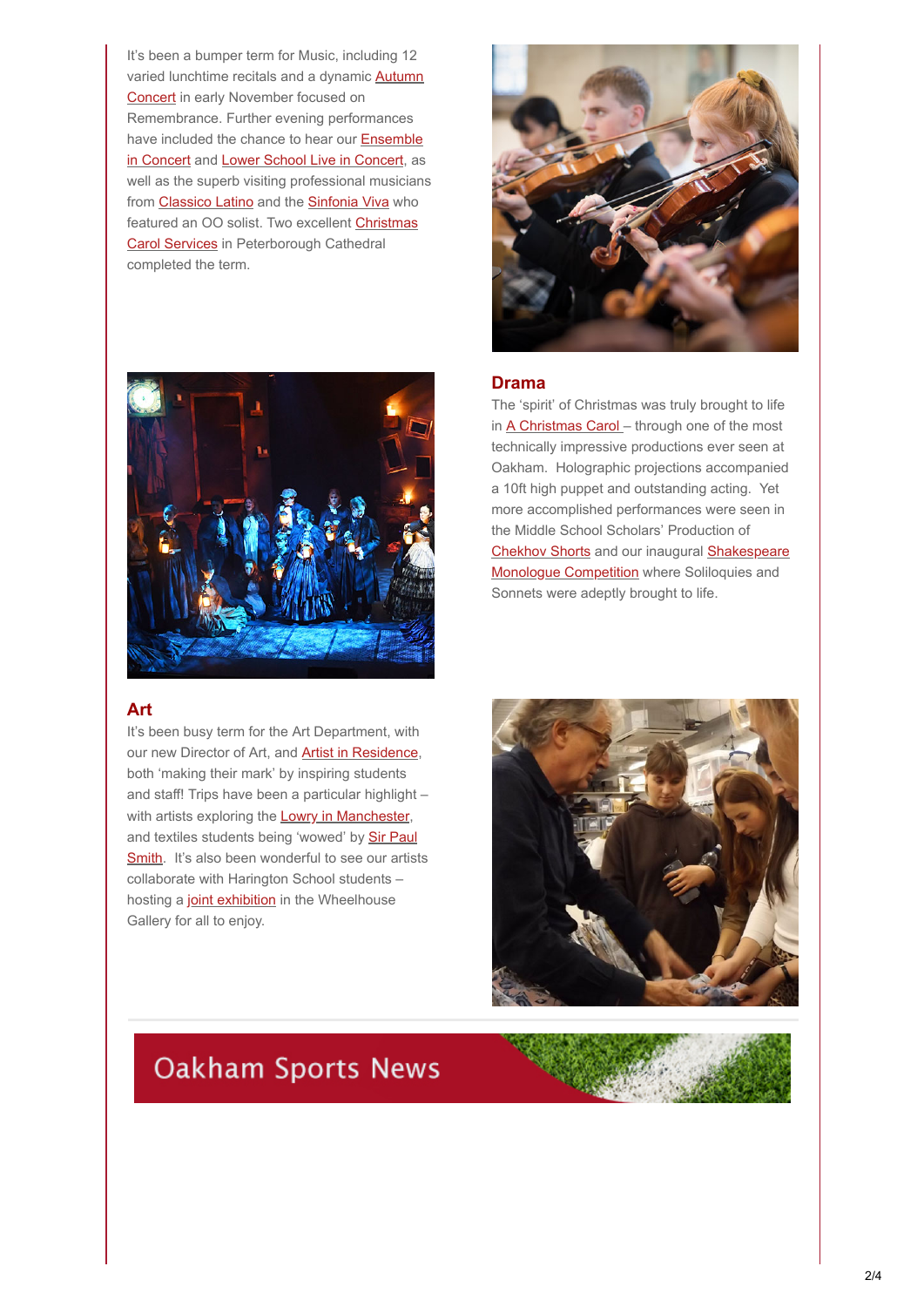It's been a bumper term for Music, including 12 varied lunchtime recitals and a dynamic **Autumn Concert** in early November focused on Remembrance. Further evening performances have included the chance to hear our Ensemble [in Concert and Lower School Live in Concert, as](https://www.oakham.rutland.sch.uk/Exciting-Ensembles-in-Concert) well as the superb visiting professional musicians from [Classico Latino](https://www.oakham.rutland.sch.uk/Fusion-Group-Classico-Latino-comes-to-Oakham-School) and the [Sinfonia Viva](https://www.oakham.rutland.sch.uk/The-virtuosic-Sinfonia-Viva-come-to-Oakham-School) who [featured an OO solist. Two excellent Christmas](https://www.oakham.rutland.sch.uk/Glorious-Carol-Services-in-Peterborough-Cathedral?returnUrl=/Latest-News) Carol Services in Peterborough Cathedral completed the term.





The 'spirit' of Christmas was truly brought to life in [A Christmas Carol](https://www.oakham.rutland.sch.uk/Oakhams-actors-wow-audiences-with-their-rendition-of-A-Christmas-Carol) - through one of the most technically impressive productions ever seen at Oakham. Holographic projections accompanied a 10ft high puppet and outstanding acting. Yet more accomplished performances were seen in the Middle School Scholars' Production of [Chekhov Shorts](https://www.oakham.rutland.sch.uk/Middle-School-Drama-Scholars-perform-Chekhov-Shorts) [and our inaugural Shakespeare](https://www.oakham.rutland.sch.uk/Pupils-brush-up-their-Shakespeare-to-Speak-the-Speech?returnUrl=/default) **Monologue Competition** where Soliloquies and Sonnets were adeptly brought to life.



#### **Art**

It's been busy term for the Art Department, with our new Director of Art, and **Artist in Residence**, both 'making their mark' by inspiring students and staff! Trips have been a particular highlight – with artists exploring the **[Lowry in Manchester](https://www.oakham.rutland.sch.uk/Form-3-Art-students-inspired-by-museums-in-Manchester)**, [and textiles students being 'wowed' by Sir Paul](https://www.oakham.rutland.sch.uk/Oakham-students-inspirational-textiles-trip-to-London) Smith. It's also been wonderful to see our artists collaborate with Harington School students – hosting a [joint exhibition](https://www.oakham.rutland.sch.uk/Oakham-and-Harington-Joint-Art-Exhibition) in the Wheelhouse Gallery for all to enjoy.



## **Oakham Sports News**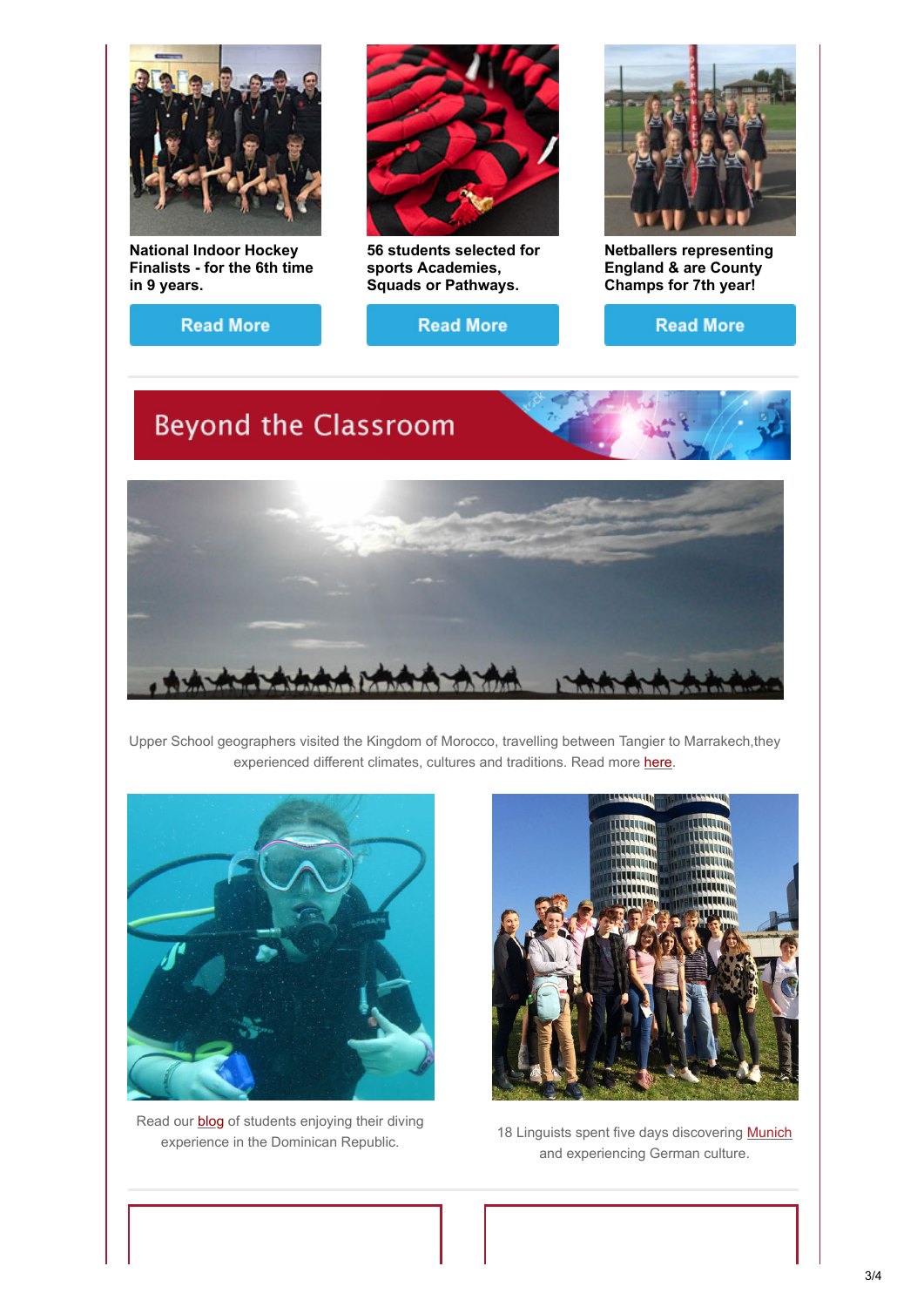

**National Indoor Hockey Finalists - for the 6th time in 9 years.**





**56 students selected for sports Academies, Squads or Pathways.**

**Read More** 



**Netballers representing England & are County Champs for 7th year!**

**Read More** 

### **Beyond the Classroom**



Upper School geographers visited the Kingdom of Morocco, travelling between Tangier to Marrakech,they experienced different climates, cultures and traditions. Read more [here](https://www.oakham.rutland.sch.uk/Blog-Geography-trip-to-Morocco).



Read our **blog** of students enjoying their diving



experience in the Dominican Republic. 18 Linguists spent five days discovering [Munich](https://www.oakham.rutland.sch.uk/Middle-School-Munich-Trip) and experiencing German culture.